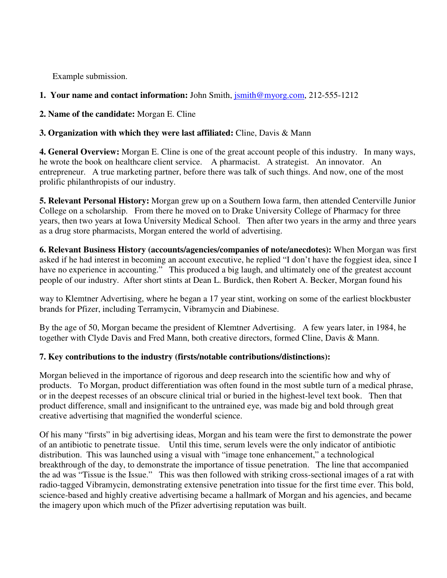Example submission.

## **1. Your name and contact information:** John Smith, jsmith@myorg.com, 212-555-1212

**2. Name of the candidate:** Morgan E. Cline

## **3. Organization with which they were last affiliated:** Cline, Davis & Mann

**4. General Overview:** Morgan E. Cline is one of the great account people of this industry. In many ways, he wrote the book on healthcare client service. A pharmacist. A strategist. An innovator. An entrepreneur. A true marketing partner, before there was talk of such things. And now, one of the most prolific philanthropists of our industry.

**5. Relevant Personal History:** Morgan grew up on a Southern Iowa farm, then attended Centerville Junior College on a scholarship. From there he moved on to Drake University College of Pharmacy for three years, then two years at Iowa University Medical School. Then after two years in the army and three years as a drug store pharmacists, Morgan entered the world of advertising.

**6. Relevant Business History (accounts/agencies/companies of note/anecdotes):** When Morgan was first asked if he had interest in becoming an account executive, he replied "I don't have the foggiest idea, since I have no experience in accounting." This produced a big laugh, and ultimately one of the greatest account people of our industry. After short stints at Dean L. Burdick, then Robert A. Becker, Morgan found his

way to Klemtner Advertising, where he began a 17 year stint, working on some of the earliest blockbuster brands for Pfizer, including Terramycin, Vibramycin and Diabinese.

By the age of 50, Morgan became the president of Klemtner Advertising. A few years later, in 1984, he together with Clyde Davis and Fred Mann, both creative directors, formed Cline, Davis & Mann.

## **7. Key contributions to the industry (firsts/notable contributions/distinctions):**

Morgan believed in the importance of rigorous and deep research into the scientific how and why of products. To Morgan, product differentiation was often found in the most subtle turn of a medical phrase, or in the deepest recesses of an obscure clinical trial or buried in the highest-level text book. Then that product difference, small and insignificant to the untrained eye, was made big and bold through great creative advertising that magnified the wonderful science.

Of his many "firsts" in big advertising ideas, Morgan and his team were the first to demonstrate the power of an antibiotic to penetrate tissue. Until this time, serum levels were the only indicator of antibiotic distribution. This was launched using a visual with "image tone enhancement," a technological breakthrough of the day, to demonstrate the importance of tissue penetration. The line that accompanied the ad was "Tissue is the Issue." This was then followed with striking cross-sectional images of a rat with radio-tagged Vibramycin, demonstrating extensive penetration into tissue for the first time ever. This bold, science-based and highly creative advertising became a hallmark of Morgan and his agencies, and became the imagery upon which much of the Pfizer advertising reputation was built.